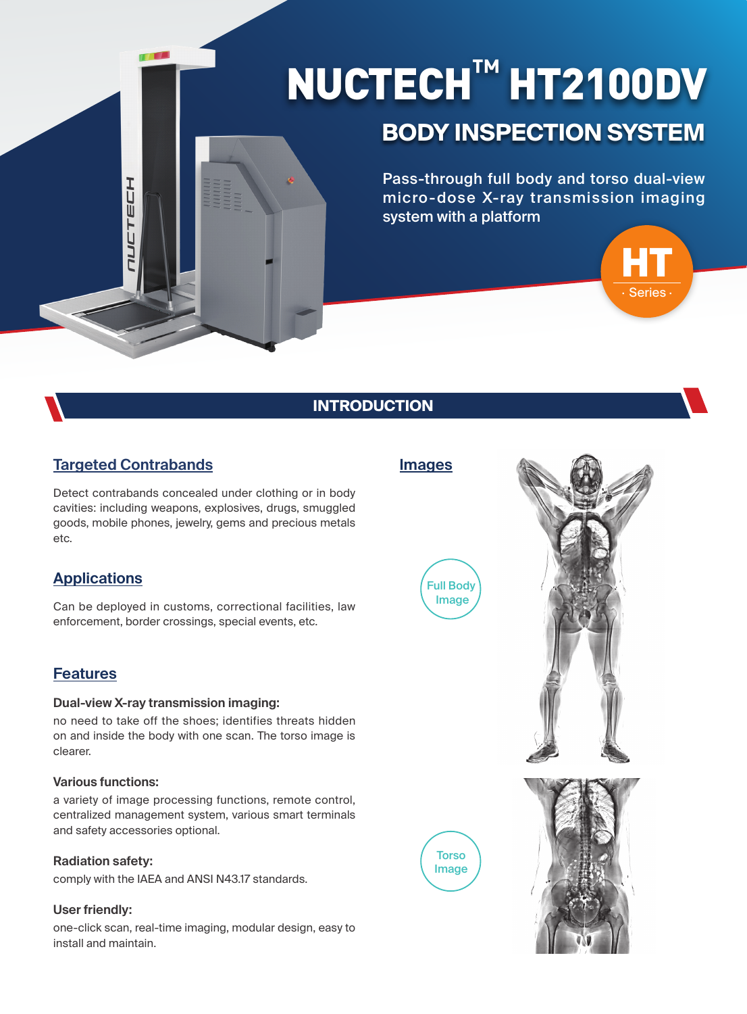# NUCTECH**™** HT2100DV

## **BODY INSPECTION SYSTEM**

Pass-through full body and torso dual-view micro-dose X-ray transmission imaging system with a platform



## **INTRODUCTION**

## **Targeted Contrabands**

工口

コムロ

Detect contrabands concealed under clothing or in body cavities: including weapons, explosives, drugs, smuggled goods, mobile phones, jewelry, gems and precious metals etc.

### **Applications**

Can be deployed in customs, correctional facilities, law enforcement, border crossings, special events, etc.

#### **Features**

#### **Dual-view X-ray transmission imaging:**

no need to take off the shoes; identifies threats hidden on and inside the body with one scan. The torso image is clearer.

#### **Various functions:**

a variety of image processing functions, remote control, centralized management system, various smart terminals and safety accessories optional.

#### **Radiation safety:**

comply with the IAEA and ANSI N43.17 standards.

#### **User friendly:**

one-click scan, real-time imaging, modular design, easy to install and maintain.



#### **Images**

Image

**Torso** Image